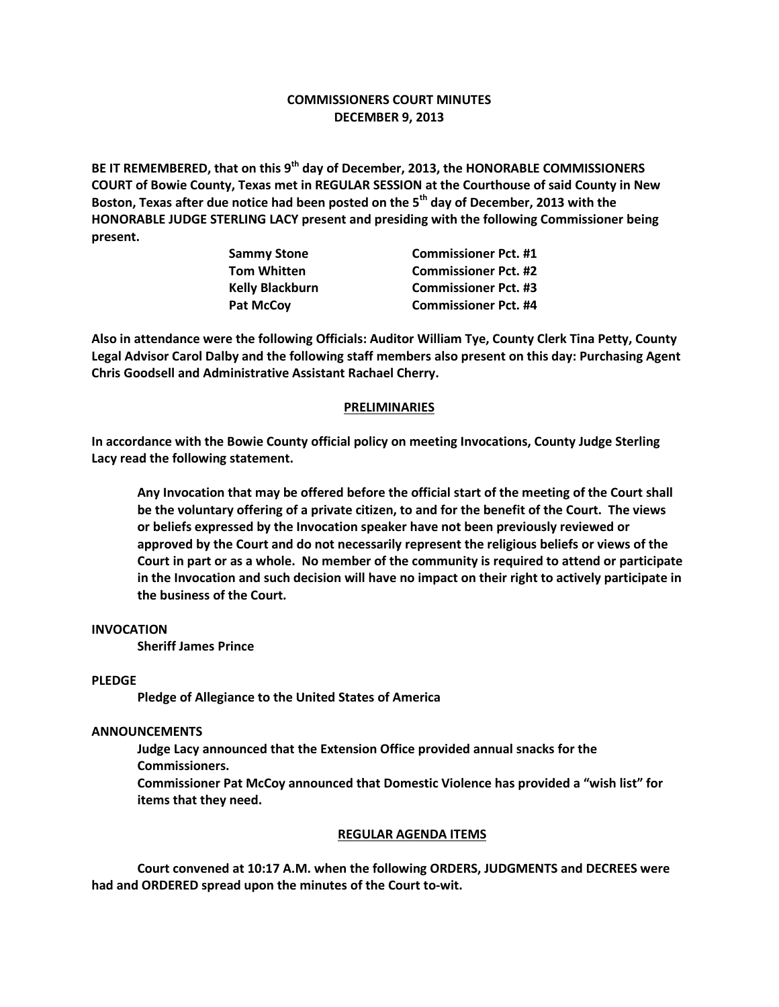# **COMMISSIONERS COURT MINUTES DECEMBER 9, 2013**

**BE IT REMEMBERED, that on this 9th day of December, 2013, the HONORABLE COMMISSIONERS COURT of Bowie County, Texas met in REGULAR SESSION at the Courthouse of said County in New Boston, Texas after due notice had been posted on the 5th day of December, 2013 with the HONORABLE JUDGE STERLING LACY present and presiding with the following Commissioner being present.**

| Sammy Stone<br>Tom Whitten | <b>Commissioner Pct. #1</b> |
|----------------------------|-----------------------------|
|                            | <b>Commissioner Pct. #2</b> |
| <b>Kelly Blackburn</b>     | <b>Commissioner Pct. #3</b> |
| Pat McCoy                  | <b>Commissioner Pct. #4</b> |

**Also in attendance were the following Officials: Auditor William Tye, County Clerk Tina Petty, County Legal Advisor Carol Dalby and the following staff members also present on this day: Purchasing Agent Chris Goodsell and Administrative Assistant Rachael Cherry.**

## **PRELIMINARIES**

**In accordance with the Bowie County official policy on meeting Invocations, County Judge Sterling Lacy read the following statement.**

**Any Invocation that may be offered before the official start of the meeting of the Court shall be the voluntary offering of a private citizen, to and for the benefit of the Court. The views or beliefs expressed by the Invocation speaker have not been previously reviewed or approved by the Court and do not necessarily represent the religious beliefs or views of the Court in part or as a whole. No member of the community is required to attend or participate in the Invocation and such decision will have no impact on their right to actively participate in the business of the Court.**

### **INVOCATION**

**Sheriff James Prince**

#### **PLEDGE**

**Pledge of Allegiance to the United States of America**

#### **ANNOUNCEMENTS**

**Judge Lacy announced that the Extension Office provided annual snacks for the Commissioners.**

**Commissioner Pat McCoy announced that Domestic Violence has provided a "wish list" for items that they need.**

#### **REGULAR AGENDA ITEMS**

**Court convened at 10:17 A.M. when the following ORDERS, JUDGMENTS and DECREES were had and ORDERED spread upon the minutes of the Court to-wit.**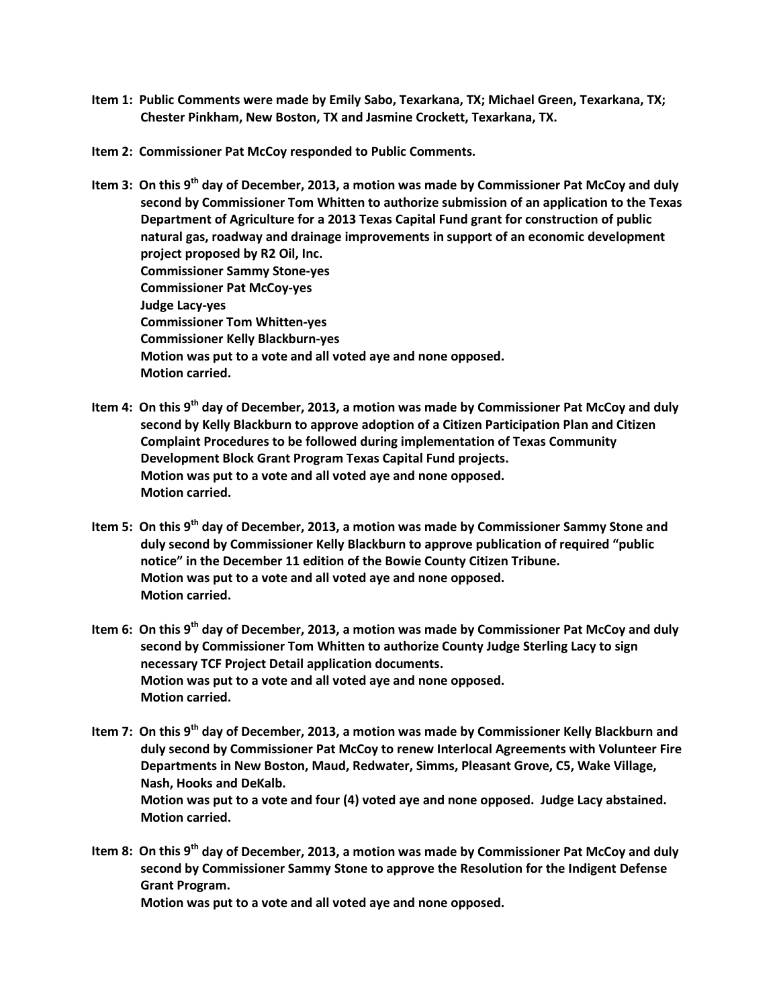- **Item 1: Public Comments were made by Emily Sabo, Texarkana, TX; Michael Green, Texarkana, TX; Chester Pinkham, New Boston, TX and Jasmine Crockett, Texarkana, TX.**
- **Item 2: Commissioner Pat McCoy responded to Public Comments.**
- **Item 3: On this 9th day of December, 2013, a motion was made by Commissioner Pat McCoy and duly second by Commissioner Tom Whitten to authorize submission of an application to the Texas Department of Agriculture for a 2013 Texas Capital Fund grant for construction of public natural gas, roadway and drainage improvements in support of an economic development project proposed by R2 Oil, Inc. Commissioner Sammy Stone-yes Commissioner Pat McCoy-yes Judge Lacy-yes Commissioner Tom Whitten-yes Commissioner Kelly Blackburn-yes Motion was put to a vote and all voted aye and none opposed. Motion carried.**
- **Item 4: On this 9th day of December, 2013, a motion was made by Commissioner Pat McCoy and duly second by Kelly Blackburn to approve adoption of a Citizen Participation Plan and Citizen Complaint Procedures to be followed during implementation of Texas Community Development Block Grant Program Texas Capital Fund projects. Motion was put to a vote and all voted aye and none opposed. Motion carried.**
- **Item 5: On this 9th day of December, 2013, a motion was made by Commissioner Sammy Stone and duly second by Commissioner Kelly Blackburn to approve publication of required "public notice" in the December 11 edition of the Bowie County Citizen Tribune. Motion was put to a vote and all voted aye and none opposed. Motion carried.**
- **Item 6: On this 9th day of December, 2013, a motion was made by Commissioner Pat McCoy and duly second by Commissioner Tom Whitten to authorize County Judge Sterling Lacy to sign necessary TCF Project Detail application documents. Motion was put to a vote and all voted aye and none opposed. Motion carried.**
- **Item 7: On this 9th day of December, 2013, a motion was made by Commissioner Kelly Blackburn and duly second by Commissioner Pat McCoy to renew Interlocal Agreements with Volunteer Fire Departments in New Boston, Maud, Redwater, Simms, Pleasant Grove, C5, Wake Village, Nash, Hooks and DeKalb. Motion was put to a vote and four (4) voted aye and none opposed. Judge Lacy abstained. Motion carried.**
- **Item 8: On this 9th day of December, 2013, a motion was made by Commissioner Pat McCoy and duly second by Commissioner Sammy Stone to approve the Resolution for the Indigent Defense Grant Program.**

**Motion was put to a vote and all voted aye and none opposed.**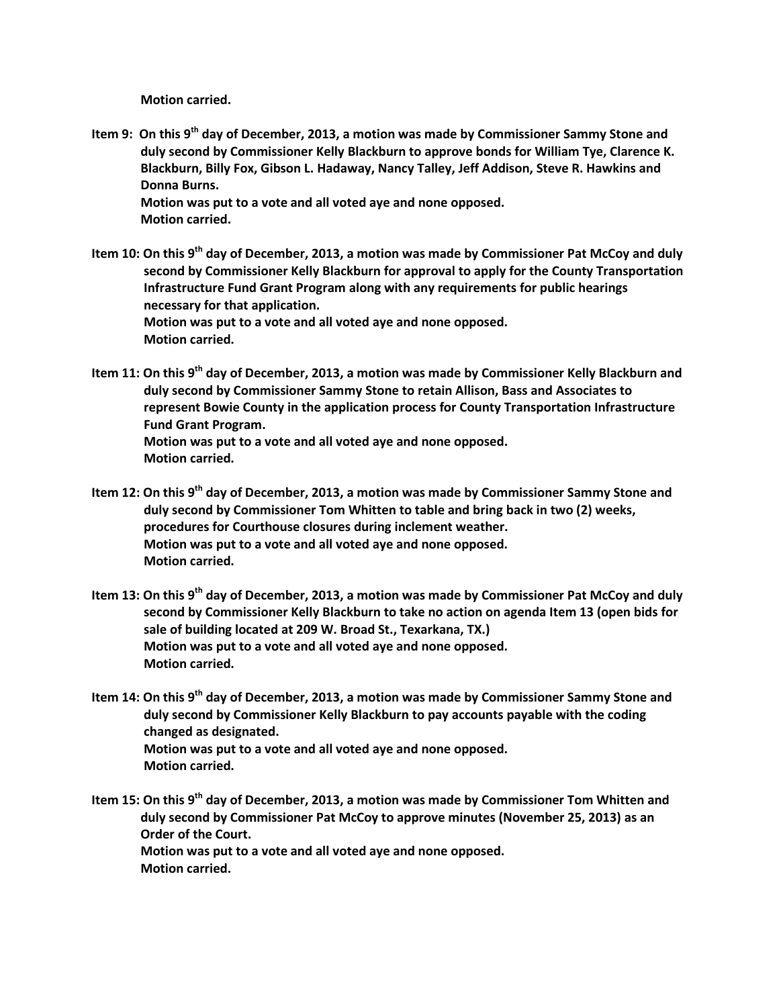**Motion carried.**

- **Item 9: On this 9th day of December, 2013, a motion was made by Commissioner Sammy Stone and duly second by Commissioner Kelly Blackburn to approve bonds for William Tye, Clarence K. Blackburn, Billy Fox, Gibson L. Hadaway, Nancy Talley, Jeff Addison, Steve R. Hawkins and Donna Burns. Motion was put to a vote and all voted aye and none opposed. Motion carried.**
- **Item 10: On this 9th day of December, 2013, a motion was made by Commissioner Pat McCoy and duly second by Commissioner Kelly Blackburn for approval to apply for the County Transportation Infrastructure Fund Grant Program along with any requirements for public hearings necessary for that application. Motion was put to a vote and all voted aye and none opposed. Motion carried.**
- **Item 11: On this 9th day of December, 2013, a motion was made by Commissioner Kelly Blackburn and duly second by Commissioner Sammy Stone to retain Allison, Bass and Associates to represent Bowie County in the application process for County Transportation Infrastructure Fund Grant Program. Motion was put to a vote and all voted aye and none opposed. Motion carried.**
- **Item 12: On this 9th day of December, 2013, a motion was made by Commissioner Sammy Stone and duly second by Commissioner Tom Whitten to table and bring back in two (2) weeks, procedures for Courthouse closures during inclement weather. Motion was put to a vote and all voted aye and none opposed. Motion carried.**
- **Item 13: On this 9th day of December, 2013, a motion was made by Commissioner Pat McCoy and duly second by Commissioner Kelly Blackburn to take no action on agenda Item 13 (open bids for sale of building located at 209 W. Broad St., Texarkana, TX.) Motion was put to a vote and all voted aye and none opposed. Motion carried.**
- **Item 14: On this 9th day of December, 2013, a motion was made by Commissioner Sammy Stone and duly second by Commissioner Kelly Blackburn to pay accounts payable with the coding changed as designated. Motion was put to a vote and all voted aye and none opposed. Motion carried.**
- **Item 15: On this 9th day of December, 2013, a motion was made by Commissioner Tom Whitten and duly second by Commissioner Pat McCoy to approve minutes (November 25, 2013) as an Order of the Court. Motion was put to a vote and all voted aye and none opposed. Motion carried.**